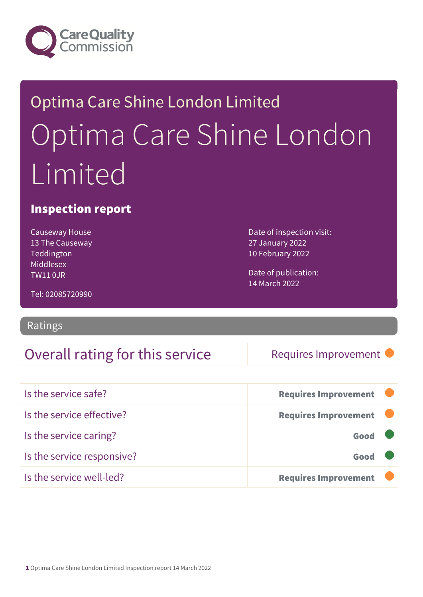

# Optima Care Shine London Limited Optima Care Shine London Limited

### Inspection report

Causeway House 13 The Causeway Teddington Middlesex TW11 0JR

Date of inspection visit: 27 January 2022 10 February 2022

Date of publication: 14 March 2022

Tel: 02085720990

### Ratings

### Overall rating for this service Requires Improvement

| Is the service safe?       | <b>Requires Improvement</b> |
|----------------------------|-----------------------------|
| Is the service effective?  | <b>Requires Improvement</b> |
| Is the service caring?     | Good                        |
| Is the service responsive? | Good                        |
| Is the service well-led?   | <b>Requires Improvement</b> |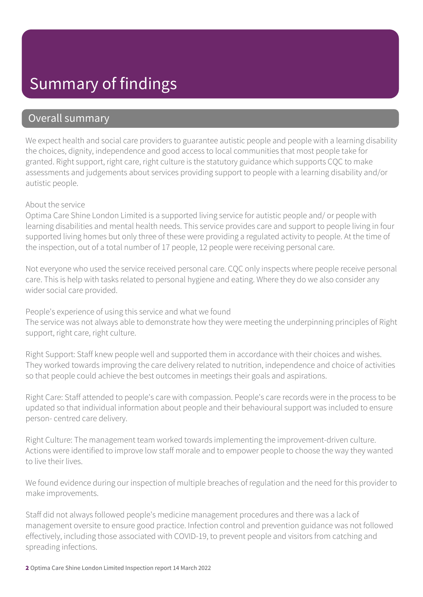## Summary of findings

### Overall summary

We expect health and social care providers to guarantee autistic people and people with a learning disability the choices, dignity, independence and good access to local communities that most people take for granted. Right support, right care, right culture is the statutory guidance which supports CQC to make assessments and judgements about services providing support to people with a learning disability and/or autistic people.

#### About the service

Optima Care Shine London Limited is a supported living service for autistic people and/ or people with learning disabilities and mental health needs. This service provides care and support to people living in four supported living homes but only three of these were providing a regulated activity to people. At the time of the inspection, out of a total number of 17 people, 12 people were receiving personal care.

Not everyone who used the service received personal care. CQC only inspects where people receive personal care. This is help with tasks related to personal hygiene and eating. Where they do we also consider any wider social care provided.

People's experience of using this service and what we found

The service was not always able to demonstrate how they were meeting the underpinning principles of Right support, right care, right culture.

Right Support: Staff knew people well and supported them in accordance with their choices and wishes. They worked towards improving the care delivery related to nutrition, independence and choice of activities so that people could achieve the best outcomes in meetings their goals and aspirations.

Right Care: Staff attended to people's care with compassion. People's care records were in the process to be updated so that individual information about people and their behavioural support was included to ensure person- centred care delivery.

Right Culture: The management team worked towards implementing the improvement-driven culture. Actions were identified to improve low staff morale and to empower people to choose the way they wanted to live their lives.

We found evidence during our inspection of multiple breaches of regulation and the need for this provider to make improvements.

Staff did not always followed people's medicine management procedures and there was a lack of management oversite to ensure good practice. Infection control and prevention guidance was not followed effectively, including those associated with COVID-19, to prevent people and visitors from catching and spreading infections.

2 Optima Care Shine London Limited Inspection report 14 March 2022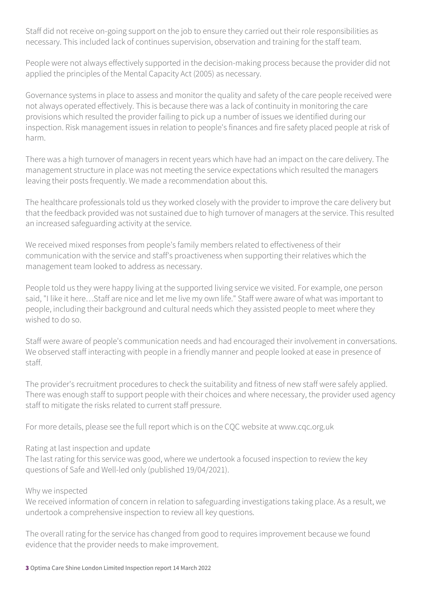Staff did not receive on-going support on the job to ensure they carried out their role responsibilities as necessary. This included lack of continues supervision, observation and training for the staff team.

People were not always effectively supported in the decision-making process because the provider did not applied the principles of the Mental Capacity Act (2005) as necessary.

Governance systems in place to assess and monitor the quality and safety of the care people received were not always operated effectively. This is because there was a lack of continuity in monitoring the care provisions which resulted the provider failing to pick up a number of issues we identified during our inspection. Risk management issues in relation to people's finances and fire safety placed people at risk of harm.

There was a high turnover of managers in recent years which have had an impact on the care delivery. The management structure in place was not meeting the service expectations which resulted the managers leaving their posts frequently. We made a recommendation about this.

The healthcare professionals told us they worked closely with the provider to improve the care delivery but that the feedback provided was not sustained due to high turnover of managers at the service. This resulted an increased safeguarding activity at the service.

We received mixed responses from people's family members related to effectiveness of their communication with the service and staff's proactiveness when supporting their relatives which the management team looked to address as necessary.

People told us they were happy living at the supported living service we visited. For example, one person said, "I like it here…Staff are nice and let me live my own life." Staff were aware of what was important to people, including their background and cultural needs which they assisted people to meet where they wished to do so.

Staff were aware of people's communication needs and had encouraged their involvement in conversations. We observed staff interacting with people in a friendly manner and people looked at ease in presence of staff.

The provider's recruitment procedures to check the suitability and fitness of new staff were safely applied. There was enough staff to support people with their choices and where necessary, the provider used agency staff to mitigate the risks related to current staff pressure.

For more details, please see the full report which is on the CQC website at www.cqc.org.uk

#### Rating at last inspection and update

The last rating for this service was good, where we undertook a focused inspection to review the key questions of Safe and Well-led only (published 19/04/2021).

#### Why we inspected

We received information of concern in relation to safeguarding investigations taking place. As a result, we undertook a comprehensive inspection to review all key questions.

The overall rating for the service has changed from good to requires improvement because we found evidence that the provider needs to make improvement.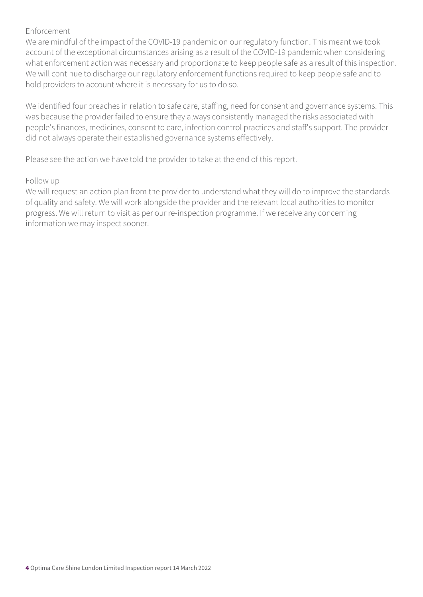#### Enforcement

We are mindful of the impact of the COVID-19 pandemic on our regulatory function. This meant we took account of the exceptional circumstances arising as a result of the COVID-19 pandemic when considering what enforcement action was necessary and proportionate to keep people safe as a result of this inspection. We will continue to discharge our regulatory enforcement functions required to keep people safe and to hold providers to account where it is necessary for us to do so.

We identified four breaches in relation to safe care, staffing, need for consent and governance systems. This was because the provider failed to ensure they always consistently managed the risks associated with people's finances, medicines, consent to care, infection control practices and staff's support. The provider did not always operate their established governance systems effectively.

Please see the action we have told the provider to take at the end of this report.

#### Follow up

We will request an action plan from the provider to understand what they will do to improve the standards of quality and safety. We will work alongside the provider and the relevant local authorities to monitor progress. We will return to visit as per our re-inspection programme. If we receive any concerning information we may inspect sooner.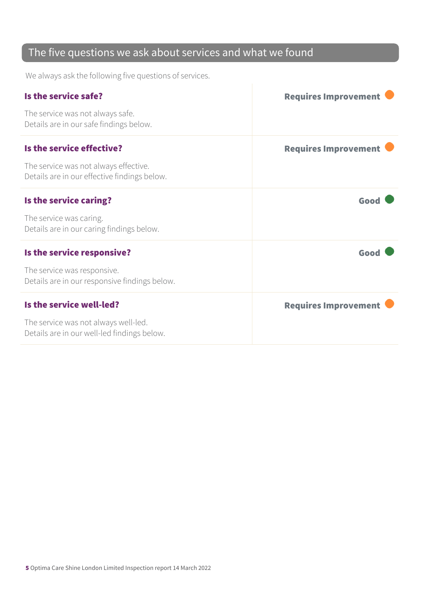### The five questions we ask about services and what we found

We always ask the following five questions of services.

| Is the service safe?                                                                  | <b>Requires Improvement</b> |
|---------------------------------------------------------------------------------------|-----------------------------|
| The service was not always safe.<br>Details are in our safe findings below.           |                             |
| Is the service effective?                                                             | <b>Requires Improvement</b> |
| The service was not always effective.<br>Details are in our effective findings below. |                             |
| Is the service caring?                                                                | Good                        |
| The service was caring.<br>Details are in our caring findings below.                  |                             |
| Is the service responsive?                                                            | Good                        |
| The service was responsive.<br>Details are in our responsive findings below.          |                             |
| Is the service well-led?                                                              | <b>Requires Improvement</b> |
| The service was not always well-led.<br>Details are in our well-led findings below.   |                             |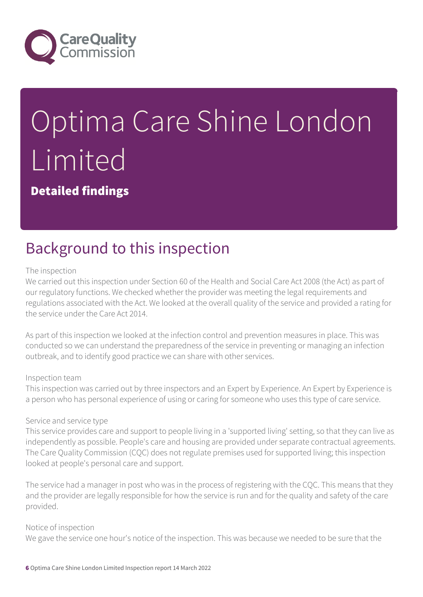

# Optima Care Shine London Limited

Detailed findings

## Background to this inspection

#### The inspection

We carried out this inspection under Section 60 of the Health and Social Care Act 2008 (the Act) as part of our regulatory functions. We checked whether the provider was meeting the legal requirements and regulations associated with the Act. We looked at the overall quality of the service and provided a rating for the service under the Care Act 2014.

As part of this inspection we looked at the infection control and prevention measures in place. This was conducted so we can understand the preparedness of the service in preventing or managing an infection outbreak, and to identify good practice we can share with other services.

#### Inspection team

This inspection was carried out by three inspectors and an Expert by Experience. An Expert by Experience is a person who has personal experience of using or caring for someone who uses this type of care service.

#### Service and service type

This service provides care and support to people living in a 'supported living' setting, so that they can live as independently as possible. People's care and housing are provided under separate contractual agreements. The Care Quality Commission (CQC) does not regulate premises used for supported living; this inspection looked at people's personal care and support.

The service had a manager in post who was in the process of registering with the CQC. This means that they and the provider are legally responsible for how the service is run and for the quality and safety of the care provided.

#### Notice of inspection

We gave the service one hour's notice of the inspection. This was because we needed to be sure that the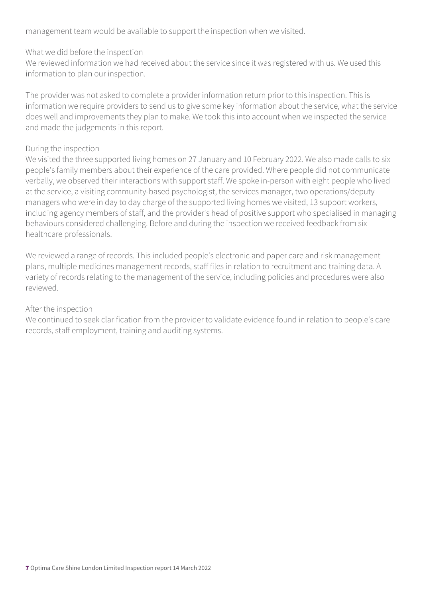management team would be available to support the inspection when we visited.

#### What we did before the inspection

We reviewed information we had received about the service since it was registered with us. We used this information to plan our inspection.

The provider was not asked to complete a provider information return prior to this inspection. This is information we require providers to send us to give some key information about the service, what the service does well and improvements they plan to make. We took this into account when we inspected the service and made the judgements in this report.

#### During the inspection

We visited the three supported living homes on 27 January and 10 February 2022. We also made calls to six people's family members about their experience of the care provided. Where people did not communicate verbally, we observed their interactions with support staff. We spoke in-person with eight people who lived at the service, a visiting community-based psychologist, the services manager, two operations/deputy managers who were in day to day charge of the supported living homes we visited, 13 support workers, including agency members of staff, and the provider's head of positive support who specialised in managing behaviours considered challenging. Before and during the inspection we received feedback from six healthcare professionals.

We reviewed a range of records. This included people's electronic and paper care and risk management plans, multiple medicines management records, staff files in relation to recruitment and training data. A variety of records relating to the management of the service, including policies and procedures were also reviewed.

#### After the inspection

We continued to seek clarification from the provider to validate evidence found in relation to people's care records, staff employment, training and auditing systems.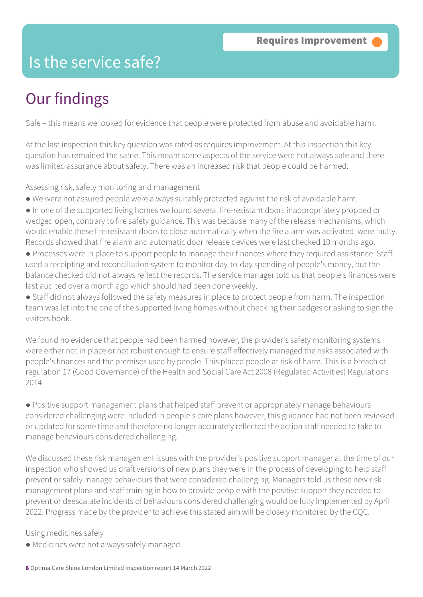### Is the service safe?

# Our findings

Safe – this means we looked for evidence that people were protected from abuse and avoidable harm.

At the last inspection this key question was rated as requires improvement. At this inspection this key question has remained the same. This meant some aspects of the service were not always safe and there was limited assurance about safety. There was an increased risk that people could be harmed.

Assessing risk, safety monitoring and management

- We were not assured people were always suitably protected against the risk of avoidable harm.
- In one of the supported living homes we found several fire-resistant doors inappropriately propped or wedged open, contrary to fire safety guidance. This was because many of the release mechanisms, which would enable these fire resistant doors to close automatically when the fire alarm was activated, were faulty. Records showed that fire alarm and automatic door release devices were last checked 10 months ago.
- Processes were in place to support people to manage their finances where they required assistance. Staff used a receipting and reconciliation system to monitor day-to-day spending of people's money, but the balance checked did not always reflect the records. The service manager told us that people's finances were last audited over a month ago which should had been done weekly.

● Staff did not always followed the safety measures in place to protect people from harm. The inspection team was let into the one of the supported living homes without checking their badges or asking to sign the visitors book.

We found no evidence that people had been harmed however, the provider's safety monitoring systems were either not in place or not robust enough to ensure staff effectively managed the risks associated with people's finances and the premises used by people. This placed people at risk of harm. This is a breach of regulation 17 (Good Governance) of the Health and Social Care Act 2008 (Regulated Activities) Regulations 2014.

● Positive support management plans that helped staff prevent or appropriately manage behaviours considered challenging were included in people's care plans however, this guidance had not been reviewed or updated for some time and therefore no longer accurately reflected the action staff needed to take to manage behaviours considered challenging.

We discussed these risk management issues with the provider's positive support manager at the time of our inspection who showed us draft versions of new plans they were in the process of developing to help staff prevent or safely manage behaviours that were considered challenging. Managers told us these new risk management plans and staff training in how to provide people with the positive support they needed to prevent or deescalate incidents of behaviours considered challenging would be fully implemented by April 2022. Progress made by the provider to achieve this stated aim will be closely monitored by the CQC.

Using medicines safely

● Medicines were not always safely managed.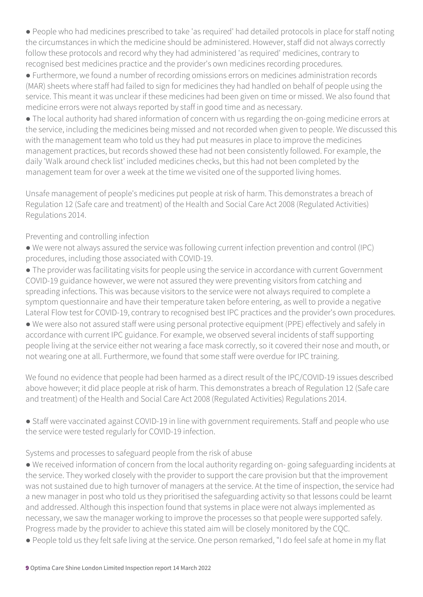● People who had medicines prescribed to take 'as required' had detailed protocols in place for staff noting the circumstances in which the medicine should be administered. However, staff did not always correctly follow these protocols and record why they had administered 'as required' medicines, contrary to recognised best medicines practice and the provider's own medicines recording procedures.

● Furthermore, we found a number of recording omissions errors on medicines administration records (MAR) sheets where staff had failed to sign for medicines they had handled on behalf of people using the service. This meant it was unclear if these medicines had been given on time or missed. We also found that medicine errors were not always reported by staff in good time and as necessary.

● The local authority had shared information of concern with us regarding the on-going medicine errors at the service, including the medicines being missed and not recorded when given to people. We discussed this with the management team who told us they had put measures in place to improve the medicines management practices, but records showed these had not been consistently followed. For example, the daily 'Walk around check list' included medicines checks, but this had not been completed by the management team for over a week at the time we visited one of the supported living homes.

Unsafe management of people's medicines put people at risk of harm. This demonstrates a breach of Regulation 12 (Safe care and treatment) of the Health and Social Care Act 2008 (Regulated Activities) Regulations 2014.

#### Preventing and controlling infection

● We were not always assured the service was following current infection prevention and control (IPC) procedures, including those associated with COVID-19.

● The provider was facilitating visits for people using the service in accordance with current Government COVID-19 guidance however, we were not assured they were preventing visitors from catching and spreading infections. This was because visitors to the service were not always required to complete a symptom questionnaire and have their temperature taken before entering, as well to provide a negative Lateral Flow test for COVID-19, contrary to recognised best IPC practices and the provider's own procedures. ● We were also not assured staff were using personal protective equipment (PPE) effectively and safely in accordance with current IPC guidance. For example, we observed several incidents of staff supporting people living at the service either not wearing a face mask correctly, so it covered their nose and mouth, or not wearing one at all. Furthermore, we found that some staff were overdue for IPC training.

We found no evidence that people had been harmed as a direct result of the IPC/COVID-19 issues described above however; it did place people at risk of harm. This demonstrates a breach of Regulation 12 (Safe care and treatment) of the Health and Social Care Act 2008 (Regulated Activities) Regulations 2014.

● Staff were vaccinated against COVID-19 in line with government requirements. Staff and people who use the service were tested regularly for COVID-19 infection.

#### Systems and processes to safeguard people from the risk of abuse

● We received information of concern from the local authority regarding on- going safeguarding incidents at the service. They worked closely with the provider to support the care provision but that the improvement was not sustained due to high turnover of managers at the service. At the time of inspection, the service had a new manager in post who told us they prioritised the safeguarding activity so that lessons could be learnt and addressed. Although this inspection found that systems in place were not always implemented as necessary, we saw the manager working to improve the processes so that people were supported safely. Progress made by the provider to achieve this stated aim will be closely monitored by the CQC.

● People told us they felt safe living at the service. One person remarked, "I do feel safe at home in my flat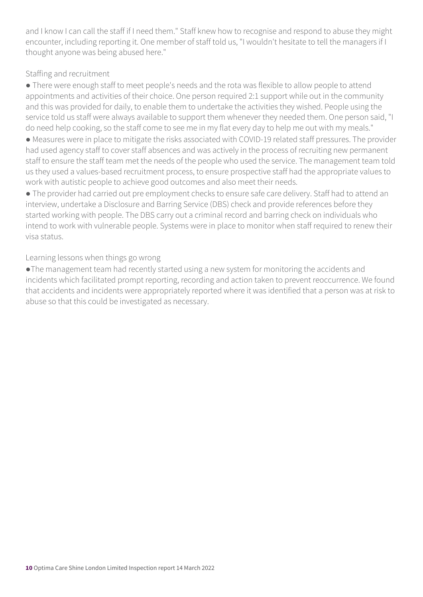and I know I can call the staff if I need them." Staff knew how to recognise and respond to abuse they might encounter, including reporting it. One member of staff told us, "I wouldn't hesitate to tell the managers if I thought anyone was being abused here."

#### Staffing and recruitment

● There were enough staff to meet people's needs and the rota was flexible to allow people to attend appointments and activities of their choice. One person required 2:1 support while out in the community and this was provided for daily, to enable them to undertake the activities they wished. People using the service told us staff were always available to support them whenever they needed them. One person said, "I do need help cooking, so the staff come to see me in my flat every day to help me out with my meals."

● Measures were in place to mitigate the risks associated with COVID-19 related staff pressures. The provider had used agency staff to cover staff absences and was actively in the process of recruiting new permanent staff to ensure the staff team met the needs of the people who used the service. The management team told us they used a values-based recruitment process, to ensure prospective staff had the appropriate values to work with autistic people to achieve good outcomes and also meet their needs.

● The provider had carried out pre employment checks to ensure safe care delivery. Staff had to attend an interview, undertake a Disclosure and Barring Service (DBS) check and provide references before they started working with people. The DBS carry out a criminal record and barring check on individuals who intend to work with vulnerable people. Systems were in place to monitor when staff required to renew their visa status.

Learning lessons when things go wrong

●The management team had recently started using a new system for monitoring the accidents and incidents which facilitated prompt reporting, recording and action taken to prevent reoccurrence. We found that accidents and incidents were appropriately reported where it was identified that a person was at risk to abuse so that this could be investigated as necessary.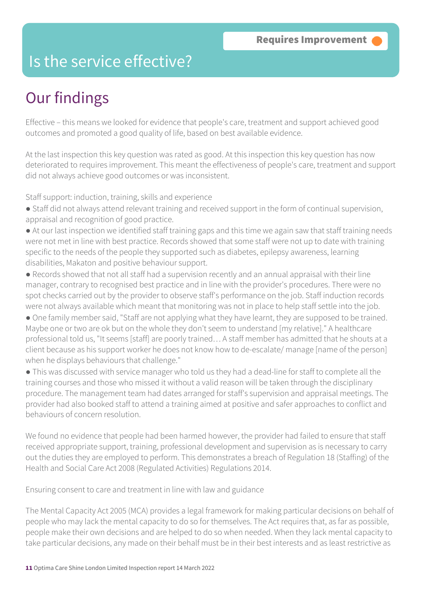### Is the service effective?

## Our findings

Effective – this means we looked for evidence that people's care, treatment and support achieved good outcomes and promoted a good quality of life, based on best available evidence.

At the last inspection this key question was rated as good. At this inspection this key question has now deteriorated to requires improvement. This meant the effectiveness of people's care, treatment and support did not always achieve good outcomes or was inconsistent.

Staff support: induction, training, skills and experience

- Staff did not always attend relevant training and received support in the form of continual supervision, appraisal and recognition of good practice.
- At our last inspection we identified staff training gaps and this time we again saw that staff training needs were not met in line with best practice. Records showed that some staff were not up to date with training specific to the needs of the people they supported such as diabetes, epilepsy awareness, learning disabilities, Makaton and positive behaviour support.
- Records showed that not all staff had a supervision recently and an annual appraisal with their line manager, contrary to recognised best practice and in line with the provider's procedures. There were no spot checks carried out by the provider to observe staff's performance on the job. Staff induction records were not always available which meant that monitoring was not in place to help staff settle into the job.
- One family member said, "Staff are not applying what they have learnt, they are supposed to be trained. Maybe one or two are ok but on the whole they don't seem to understand [my relative]." A healthcare professional told us, "It seems [staff] are poorly trained… A staff member has admitted that he shouts at a client because as his support worker he does not know how to de-escalate/ manage [name of the person] when he displays behaviours that challenge."
- This was discussed with service manager who told us they had a dead-line for staff to complete all the training courses and those who missed it without a valid reason will be taken through the disciplinary procedure. The management team had dates arranged for staff's supervision and appraisal meetings. The provider had also booked staff to attend a training aimed at positive and safer approaches to conflict and behaviours of concern resolution.

We found no evidence that people had been harmed however, the provider had failed to ensure that staff received appropriate support, training, professional development and supervision as is necessary to carry out the duties they are employed to perform. This demonstrates a breach of Regulation 18 (Staffing) of the Health and Social Care Act 2008 (Regulated Activities) Regulations 2014.

Ensuring consent to care and treatment in line with law and guidance

The Mental Capacity Act 2005 (MCA) provides a legal framework for making particular decisions on behalf of people who may lack the mental capacity to do so for themselves. The Act requires that, as far as possible, people make their own decisions and are helped to do so when needed. When they lack mental capacity to take particular decisions, any made on their behalf must be in their best interests and as least restrictive as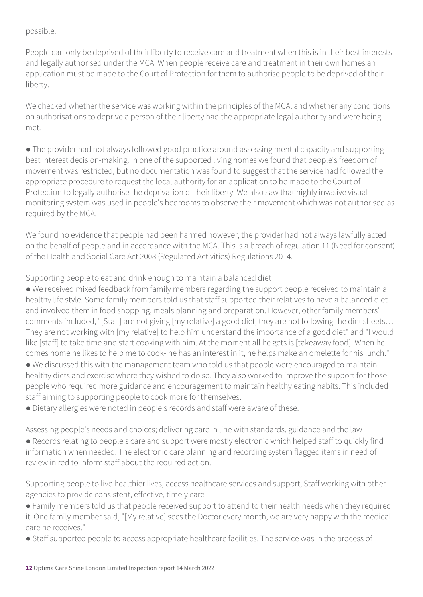#### possible.

People can only be deprived of their liberty to receive care and treatment when this is in their best interests and legally authorised under the MCA. When people receive care and treatment in their own homes an application must be made to the Court of Protection for them to authorise people to be deprived of their liberty.

We checked whether the service was working within the principles of the MCA, and whether any conditions on authorisations to deprive a person of their liberty had the appropriate legal authority and were being met.

● The provider had not always followed good practice around assessing mental capacity and supporting best interest decision-making. In one of the supported living homes we found that people's freedom of movement was restricted, but no documentation was found to suggest that the service had followed the appropriate procedure to request the local authority for an application to be made to the Court of Protection to legally authorise the deprivation of their liberty. We also saw that highly invasive visual monitoring system was used in people's bedrooms to observe their movement which was not authorised as required by the MCA.

We found no evidence that people had been harmed however, the provider had not always lawfully acted on the behalf of people and in accordance with the MCA. This is a breach of regulation 11 (Need for consent) of the Health and Social Care Act 2008 (Regulated Activities) Regulations 2014.

Supporting people to eat and drink enough to maintain a balanced diet

● We received mixed feedback from family members regarding the support people received to maintain a healthy life style. Some family members told us that staff supported their relatives to have a balanced diet and involved them in food shopping, meals planning and preparation. However, other family members' comments included, "[Staff] are not giving [my relative] a good diet, they are not following the diet sheets… They are not working with [my relative] to help him understand the importance of a good diet" and "I would like [staff] to take time and start cooking with him. At the moment all he gets is [takeaway food]. When he comes home he likes to help me to cook- he has an interest in it, he helps make an omelette for his lunch."

● We discussed this with the management team who told us that people were encouraged to maintain healthy diets and exercise where they wished to do so. They also worked to improve the support for those people who required more guidance and encouragement to maintain healthy eating habits. This included staff aiming to supporting people to cook more for themselves.

● Dietary allergies were noted in people's records and staff were aware of these.

Assessing people's needs and choices; delivering care in line with standards, guidance and the law

● Records relating to people's care and support were mostly electronic which helped staff to quickly find information when needed. The electronic care planning and recording system flagged items in need of review in red to inform staff about the required action.

Supporting people to live healthier lives, access healthcare services and support; Staff working with other agencies to provide consistent, effective, timely care

- Family members told us that people received support to attend to their health needs when they required it. One family member said, "[My relative] sees the Doctor every month, we are very happy with the medical care he receives."
- Staff supported people to access appropriate healthcare facilities. The service was in the process of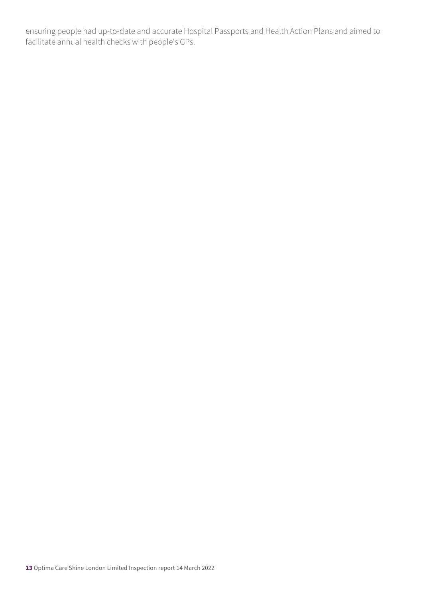ensuring people had up-to-date and accurate Hospital Passports and Health Action Plans and aimed to facilitate annual health checks with people's GPs.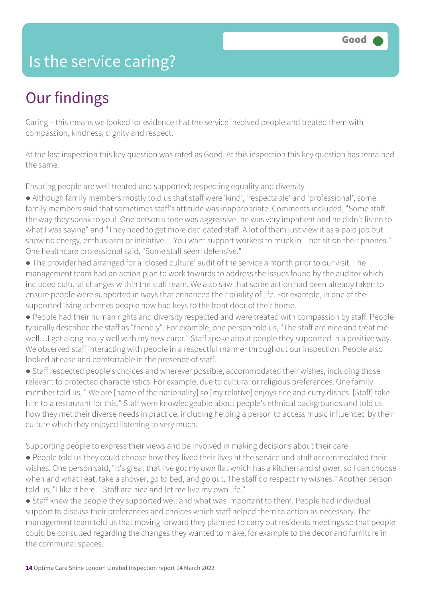### Is the service caring?

## Our findings

Caring – this means we looked for evidence that the service involved people and treated them with compassion, kindness, dignity and respect.

At the last inspection this key question was rated as Good. At this inspection this key question has remained the same.

Ensuring people are well treated and supported; respecting equality and diversity

● Although family members mostly told us that staff were 'kind', 'respectable' and 'professional', some family members said that sometimes staff's attitude was inappropriate. Comments included, "Some staff, the way they speak to you! One person's tone was aggressive- he was very impatient and he didn't listen to what I was saying" and "They need to get more dedicated staff. A lot of them just view it as a paid job but show no energy, enthusiasm or initiative… You want support workers to muck in – not sit on their phones." One healthcare professional said, "Some staff seem defensive."

● The provider had arranged for a 'closed culture' audit of the service a month prior to our visit. The management team had an action plan to work towards to address the issues found by the auditor which included cultural changes within the staff team. We also saw that some action had been already taken to ensure people were supported in ways that enhanced their quality of life. For example, in one of the supported living schemes people now had keys to the front door of their home.

● People had their human rights and diversity respected and were treated with compassion by staff. People typically described the staff as "friendly". For example, one person told us, "The staff are nice and treat me well…I get along really well with my new carer." Staff spoke about people they supported in a positive way. We observed staff interacting with people in a respectful manner throughout our inspection. People also looked at ease and comfortable in the presence of staff.

● Staff respected people's choices and wherever possible, accommodated their wishes, including those relevant to protected characteristics. For example, due to cultural or religious preferences. One family member told us, " We are [name of the nationality] so [my relative] enjoys rice and curry dishes. [Staff] take him to a restaurant for this." Staff were knowledgeable about people's ethnical backgrounds and told us how they met their diverse needs in practice, including helping a person to access music influenced by their culture which they enjoyed listening to very much.

Supporting people to express their views and be involved in making decisions about their care

● People told us they could choose how they lived their lives at the service and staff accommodated their wishes. One person said, "It's great that I've got my own flat which has a kitchen and shower, so I can choose when and what I eat, take a shower, go to bed, and go out. The staff do respect my wishes." Another person told us, "I like it here…Staff are nice and let me live my own life."

● Staff knew the people they supported well and what was important to them. People had individual support to discuss their preferences and choices which staff helped them to action as necessary. The management team told us that moving forward they planned to carry out residents meetings so that people could be consulted regarding the changes they wanted to make, for example to the décor and furniture in the communal spaces.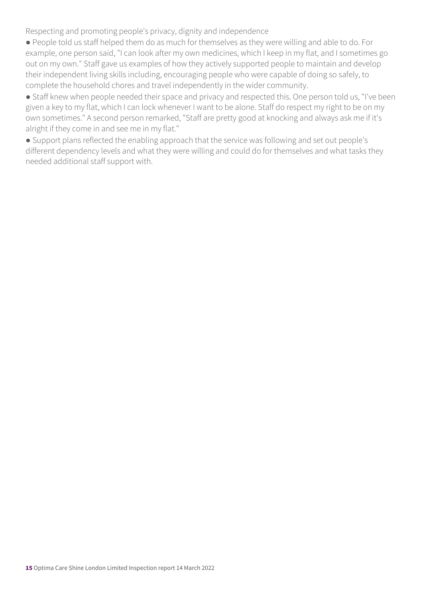Respecting and promoting people's privacy, dignity and independence

● People told us staff helped them do as much for themselves as they were willing and able to do. For example, one person said, "I can look after my own medicines, which I keep in my flat, and I sometimes go out on my own." Staff gave us examples of how they actively supported people to maintain and develop their independent living skills including, encouraging people who were capable of doing so safely, to complete the household chores and travel independently in the wider community.

• Staff knew when people needed their space and privacy and respected this. One person told us, "I've been given a key to my flat, which I can lock whenever I want to be alone. Staff do respect my right to be on my own sometimes." A second person remarked, "Staff are pretty good at knocking and always ask me if it's alright if they come in and see me in my flat."

● Support plans reflected the enabling approach that the service was following and set out people's different dependency levels and what they were willing and could do for themselves and what tasks they needed additional staff support with.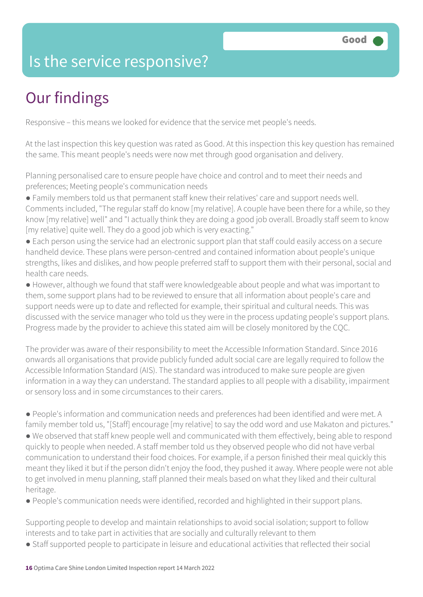### Is the service responsive?

# Our findings

Responsive – this means we looked for evidence that the service met people's needs.

At the last inspection this key question was rated as Good. At this inspection this key question has remained the same. This meant people's needs were now met through good organisation and delivery.

Planning personalised care to ensure people have choice and control and to meet their needs and preferences; Meeting people's communication needs

- Family members told us that permanent staff knew their relatives' care and support needs well. Comments included, "The regular staff do know [my relative]. A couple have been there for a while, so they know [my relative] well" and "I actually think they are doing a good job overall. Broadly staff seem to know [my relative] quite well. They do a good job which is very exacting."
- Each person using the service had an electronic support plan that staff could easily access on a secure handheld device. These plans were person-centred and contained information about people's unique strengths, likes and dislikes, and how people preferred staff to support them with their personal, social and health care needs.
- However, although we found that staff were knowledgeable about people and what was important to them, some support plans had to be reviewed to ensure that all information about people's care and support needs were up to date and reflected for example, their spiritual and cultural needs. This was discussed with the service manager who told us they were in the process updating people's support plans. Progress made by the provider to achieve this stated aim will be closely monitored by the CQC.

The provider was aware of their responsibility to meet the Accessible Information Standard. Since 2016 onwards all organisations that provide publicly funded adult social care are legally required to follow the Accessible Information Standard (AIS). The standard was introduced to make sure people are given information in a way they can understand. The standard applies to all people with a disability, impairment or sensory loss and in some circumstances to their carers.

● People's information and communication needs and preferences had been identified and were met. A family member told us, "[Staff] encourage [my relative] to say the odd word and use Makaton and pictures." ● We observed that staff knew people well and communicated with them effectively, being able to respond quickly to people when needed. A staff member told us they observed people who did not have verbal communication to understand their food choices. For example, if a person finished their meal quickly this meant they liked it but if the person didn't enjoy the food, they pushed it away. Where people were not able to get involved in menu planning, staff planned their meals based on what they liked and their cultural heritage.

● People's communication needs were identified, recorded and highlighted in their support plans.

Supporting people to develop and maintain relationships to avoid social isolation; support to follow interests and to take part in activities that are socially and culturally relevant to them

● Staff supported people to participate in leisure and educational activities that reflected their social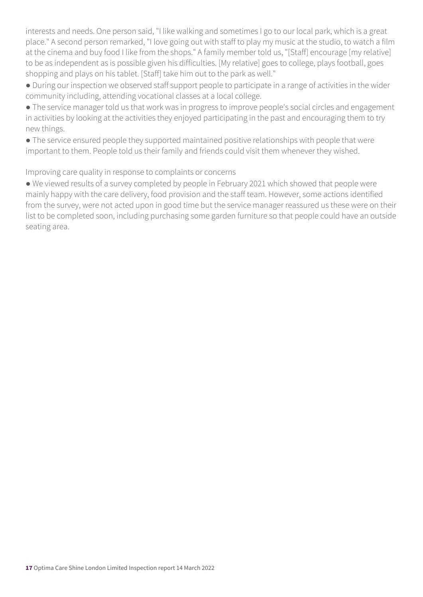interests and needs. One person said, "I like walking and sometimes I go to our local park, which is a great place." A second person remarked, "I love going out with staff to play my music at the studio, to watch a film at the cinema and buy food I like from the shops." A family member told us, "[Staff] encourage [my relative] to be as independent as is possible given his difficulties. [My relative] goes to college, plays football, goes shopping and plays on his tablet. [Staff] take him out to the park as well."

● During our inspection we observed staff support people to participate in a range of activities in the wider community including, attending vocational classes at a local college.

● The service manager told us that work was in progress to improve people's social circles and engagement in activities by looking at the activities they enjoyed participating in the past and encouraging them to try new things.

● The service ensured people they supported maintained positive relationships with people that were important to them. People told us their family and friends could visit them whenever they wished.

Improving care quality in response to complaints or concerns

● We viewed results of a survey completed by people in February 2021 which showed that people were mainly happy with the care delivery, food provision and the staff team. However, some actions identified from the survey, were not acted upon in good time but the service manager reassured us these were on their list to be completed soon, including purchasing some garden furniture so that people could have an outside seating area.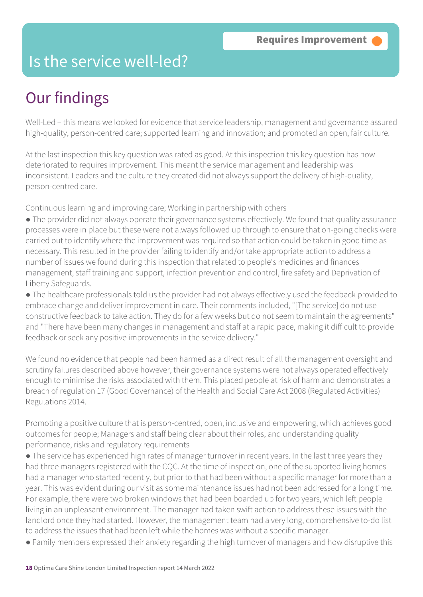### Is the service well-led?

## Our findings

Well-Led – this means we looked for evidence that service leadership, management and governance assured high-quality, person-centred care; supported learning and innovation; and promoted an open, fair culture.

At the last inspection this key question was rated as good. At this inspection this key question has now deteriorated to requires improvement. This meant the service management and leadership was inconsistent. Leaders and the culture they created did not always support the delivery of high-quality, person-centred care.

Continuous learning and improving care; Working in partnership with others

● The provider did not always operate their governance systems effectively. We found that quality assurance processes were in place but these were not always followed up through to ensure that on-going checks were carried out to identify where the improvement was required so that action could be taken in good time as necessary. This resulted in the provider failing to identify and/or take appropriate action to address a number of issues we found during this inspection that related to people's medicines and finances management, staff training and support, infection prevention and control, fire safety and Deprivation of Liberty Safeguards.

● The healthcare professionals told us the provider had not always effectively used the feedback provided to embrace change and deliver improvement in care. Their comments included, "[The service] do not use constructive feedback to take action. They do for a few weeks but do not seem to maintain the agreements" and "There have been many changes in management and staff at a rapid pace, making it difficult to provide feedback or seek any positive improvements in the service delivery."

We found no evidence that people had been harmed as a direct result of all the management oversight and scrutiny failures described above however, their governance systems were not always operated effectively enough to minimise the risks associated with them. This placed people at risk of harm and demonstrates a breach of regulation 17 (Good Governance) of the Health and Social Care Act 2008 (Regulated Activities) Regulations 2014.

Promoting a positive culture that is person-centred, open, inclusive and empowering, which achieves good outcomes for people; Managers and staff being clear about their roles, and understanding quality performance, risks and regulatory requirements

- The service has experienced high rates of manager turnover in recent years. In the last three years they had three managers registered with the CQC. At the time of inspection, one of the supported living homes had a manager who started recently, but prior to that had been without a specific manager for more than a year. This was evident during our visit as some maintenance issues had not been addressed for a long time. For example, there were two broken windows that had been boarded up for two years, which left people living in an unpleasant environment. The manager had taken swift action to address these issues with the landlord once they had started. However, the management team had a very long, comprehensive to-do list to address the issues that had been left while the homes was without a specific manager.
- Family members expressed their anxiety regarding the high turnover of managers and how disruptive this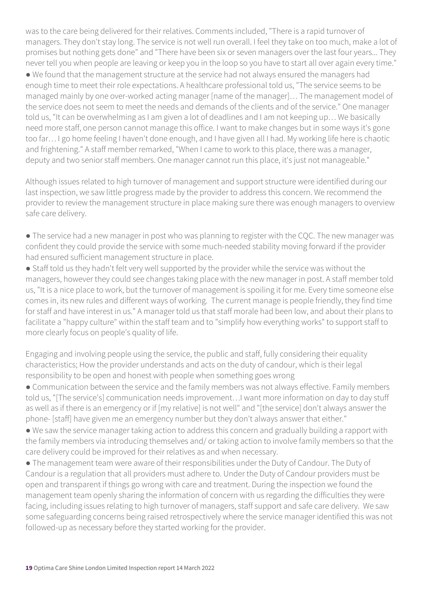was to the care being delivered for their relatives. Comments included, "There is a rapid turnover of managers. They don't stay long. The service is not well run overall. I feel they take on too much, make a lot of promises but nothing gets done" and "There have been six or seven managers over the last four years... They never tell you when people are leaving or keep you in the loop so you have to start all over again every time." ● We found that the management structure at the service had not always ensured the managers had enough time to meet their role expectations. A healthcare professional told us, "The service seems to be managed mainly by one over-worked acting manager [name of the manager]… The management model of the service does not seem to meet the needs and demands of the clients and of the service." One manager told us, "It can be overwhelming as I am given a lot of deadlines and I am not keeping up… We basically need more staff, one person cannot manage this office. I want to make changes but in some ways it's gone too far… I go home feeling I haven't done enough, and I have given all I had. My working life here is chaotic and frightening." A staff member remarked, "When I came to work to this place, there was a manager, deputy and two senior staff members. One manager cannot run this place, it's just not manageable."

Although issues related to high turnover of management and support structure were identified during our last inspection, we saw little progress made by the provider to address this concern. We recommend the provider to review the management structure in place making sure there was enough managers to overview safe care delivery.

● The service had a new manager in post who was planning to register with the CQC. The new manager was confident they could provide the service with some much-needed stability moving forward if the provider had ensured sufficient management structure in place.

● Staff told us they hadn't felt very well supported by the provider while the service was without the managers, however they could see changes taking place with the new manager in post. A staff member told us, "It is a nice place to work, but the turnover of management is spoiling it for me. Every time someone else comes in, its new rules and different ways of working. The current manage is people friendly, they find time for staff and have interest in us." A manager told us that staff morale had been low, and about their plans to facilitate a "happy culture" within the staff team and to "simplify how everything works" to support staff to more clearly focus on people's quality of life.

Engaging and involving people using the service, the public and staff, fully considering their equality characteristics; How the provider understands and acts on the duty of candour, which is their legal responsibility to be open and honest with people when something goes wrong

● Communication between the service and the family members was not always effective. Family members told us, "[The service's] communication needs improvement…I want more information on day to day stuff as well as if there is an emergency or if [my relative] is not well" and "[the service] don't always answer the phone- [staff] have given me an emergency number but they don't always answer that either."

● We saw the service manager taking action to address this concern and gradually building a rapport with the family members via introducing themselves and/ or taking action to involve family members so that the care delivery could be improved for their relatives as and when necessary.

● The management team were aware of their responsibilities under the Duty of Candour. The Duty of Candour is a regulation that all providers must adhere to. Under the Duty of Candour providers must be open and transparent if things go wrong with care and treatment. During the inspection we found the management team openly sharing the information of concern with us regarding the difficulties they were facing, including issues relating to high turnover of managers, staff support and safe care delivery. We saw some safeguarding concerns being raised retrospectively where the service manager identified this was not followed-up as necessary before they started working for the provider.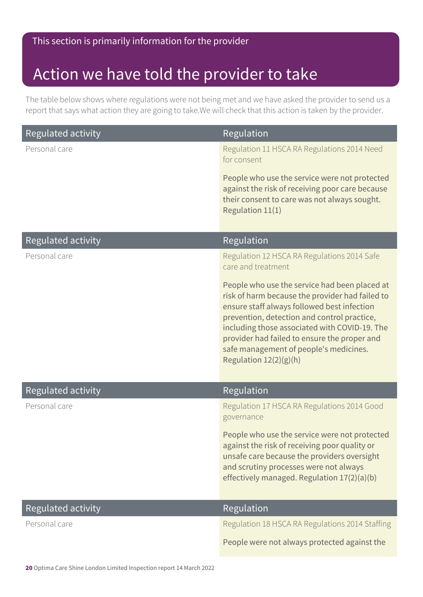### This section is primarily information for the provider

### Action we have told the provider to take

The table below shows where regulations were not being met and we have asked the provider to send us a report that says what action they are going to take.We will check that this action is taken by the provider.

| <b>Regulated activity</b> | <b>Regulation</b>                                                                                                                                                                                                                                                                                                                                                   |
|---------------------------|---------------------------------------------------------------------------------------------------------------------------------------------------------------------------------------------------------------------------------------------------------------------------------------------------------------------------------------------------------------------|
| Personal care             | Regulation 11 HSCA RA Regulations 2014 Need<br>for consent                                                                                                                                                                                                                                                                                                          |
|                           | People who use the service were not protected<br>against the risk of receiving poor care because<br>their consent to care was not always sought.<br>Regulation 11(1)                                                                                                                                                                                                |
| <b>Regulated activity</b> | Regulation                                                                                                                                                                                                                                                                                                                                                          |
| Personal care             | Regulation 12 HSCA RA Regulations 2014 Safe<br>care and treatment                                                                                                                                                                                                                                                                                                   |
|                           | People who use the service had been placed at<br>risk of harm because the provider had failed to<br>ensure staff always followed best infection<br>prevention, detection and control practice,<br>including those associated with COVID-19. The<br>provider had failed to ensure the proper and<br>safe management of people's medicines.<br>Regulation 12(2)(g)(h) |
| <b>Regulated activity</b> | Regulation                                                                                                                                                                                                                                                                                                                                                          |
| Personal care             | Regulation 17 HSCA RA Regulations 2014 Good<br>governance                                                                                                                                                                                                                                                                                                           |
|                           | People who use the service were not protected<br>against the risk of receiving poor quality or<br>unsafe care because the providers oversight<br>and scrutiny processes were not always<br>effectively managed. Regulation 17(2)(a)(b)                                                                                                                              |
| <b>Regulated activity</b> | Regulation                                                                                                                                                                                                                                                                                                                                                          |
| Personal care             | Regulation 18 HSCA RA Regulations 2014 Staffing                                                                                                                                                                                                                                                                                                                     |
|                           | People were not always protected against the                                                                                                                                                                                                                                                                                                                        |